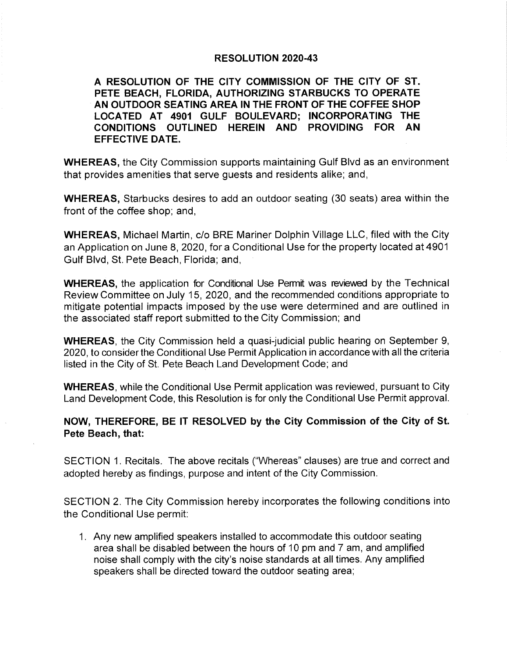## **RESOLUTION 2020-43**

RESOLUTION OF THE CITY COMMISSION OF THE CITY OF PETE BEACH, FLORIDA, AUTHORIZING STARBUCKS TO OPERATE AN OUTDOOR SEATING AREA IN THE FRONT OF THE COFFEE SHOP LOCATED AT 4901 GULF BOULEVARD; INCORPORATING THE CONDITIONS OUTLINED HEREIN AND PROVIDING FOR AN EFFECTIVE DA

WHEREAS, the City Commission supports maintaining Gulf Blvd as an environment that provides amenities that serve guests and residents alike; and,

WHEREAS, Starbucks desires to add an outdoor seating (30 seats) area within the front of the coffee shop; and,

WHEREAS, Michael Martin, c/o BRE Mariner Dolphin Village LLC, filed with the City an Application on June 8, 2020, for a Conditional Use for the property located at 4901 Gulf Blvd, St. Pete Beach, Florida; and,

WHEREAS, the application for Conditional Use Permit was reviewed by the Technical Review Committee on July 15, 2020, and the recommended conditions appropriate to mitigate potential impacts imposed by the use were determined and are outlined in the associated staff report submitted to the City Commission; and

WHEREAS, the City Commission held a quasi-judicial public hearing on September 9, 2020, to consider the Conditional Use Permit Application in accordance with all the criteria listed in the City of St. Pete Beach Land Development Code; and

WHEREAS, while the Conditional Use Permit application was reviewed, pursuant to City Land Development Code, this Resolution is for only the Conditional Use Permit approval.

NOW, THEREFORE, BE IT RESOLVED by the City Commission of the City of St. Pete Beach, that:

SECTION 1. Recitals. The above recitals (" Whereas" clauses) are true and correct and adopted hereby as findings, purpose and intent of the City Commission.

SECTION 2. The City Commission hereby incorporates the following conditions into the Conditional Use permit:

1. Any new amplified speakers installed to accommodate this outdoor seating area shall be disabled between the hours of 10 pm and 7 am, and amplified noise shall comply with the city's noise standards at all times. Any amplified speakers shall be directed toward the outdoor seating area;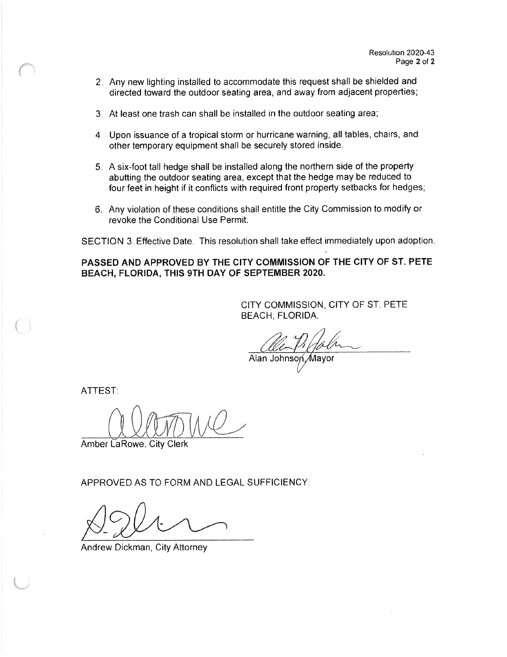- 2. Any new lighting installed to accommodate this request shall be shielded and directed toward the outdoor seating area, and away from adjacent properties;
- 3. At least one trash can shall be installed in the outdoor seating area;
- 4. Upon issuance of a tropical storm or hurricane warning, all tables, chairs, and other temporary equipment shall be securely stored inside.
- 5. A six- foot tall hedge shall be installed along the northern side of the property abutting the outdoor seating area, except that the hedge may be reduced to four feet in height if it conflicts with required front property setbacks for hedges;
- 6,6. Any violation of these conditions shall entitle the City Commission to modify or revoke the Conditional Use Permit.

SECTION 3. Effective Date. This resolution shall take effect immediately upon adoption.

PASSED AND APPROVED BY THE CITY COMMISSION OF THE CITY OF ST. PETE BEACH, FLORIDA, THIS 9TH DAY OF SEPTEMBER 2020.

> CITY COMMISSION, CITY OF ST. PETE BEACH, FLORIDA.

Alan Johnson Mayor V

ATTEST:

Amber LaRowe, City Clerk

APPROVED AS TO FORM AND LEGAL SUFFICIENCY:

Andrew Dickman, City Attorney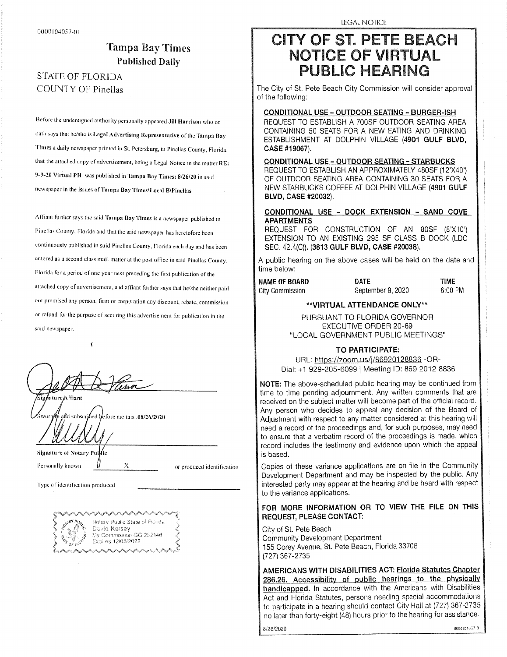## Tampa Bay Times Published Daily

# COUNTY OF Pinellas

Before the undersigned authority personally appeared Jill Harrison who on oath says that he/she is Legal Advertising Representative of the Tampa Bay Times a daily newspaper printed in St. Petersburg, in Pinellas County, Florida; that the attached copy of advertisement, being a Legal Notice in the matter RE: 9-9-20 Virtual PH was published in Tampa Bay Times: 8/26/20 in said newspaper in the issues of Tampa Bay Times\Local B\Pinellas

Affiant further says the said Tampa Bay Times is a newspaper published in Pinellas County, Florida and that the said newspaper has heretofore been continuously published in said Pinellas County, Florida each day and has been entered as a second class mail matter at the post office in said Pinellas County, Florida for a period of one year next preceding the first publication of the attached copy of advertisement, and affiant further says that he/she neither paid not promised any person, firm or corporation any discount, rebate, commission or refund for the purpose of securing this advertisement for publication in the or refund for the purpose of securing this advertisement for publication in the

.<br>Siedsture & ffiant

and subscribed defore me this .08/26/2020

Signature of Notary Pullic

Personally known

Personally known in the produced identification

Type of identification produced



 $\mathbf x$ 

## CITY OF ST. PETE BEACH NOTICE OF VIRTUAL PUBLIC HEARING  $\mathbf{L}$

The City of St. Pete Beach City Commission will consider approval of the following:

CONDITIONAL USE – OUTDOOR SEATING – BURGER-ISH<br>REQUEST TO ESTABLISH A 700SF OUTDOOR SEATING AREA CONTAINING 50 SEATS FOR A NEW EATING AND DRINKING CONTAINING 50 SEATS FOR A NEW EATING AND DRINKING ESTABLISHMENT AT DOLPHIN VILLAGE ( 4901 GULF BLVD, CASE # 19067).

CONDITIONAL USE - OUTDOOR SEATING - STARBUCKS, OF OUTDOOR SEATING AREA CONTAINING 30 SEATS FOR A NEW STARBUCKS COFFEE AT DOLPHIN VILLAGE (4901 GULF NEW STARBUCKS COFFEE AT DOLPHIN VILLAGE (1991 GOLPHIN)  $B = \frac{B}{2}$ 

## CONDITIONAL USE - DOCK EXTENSION - SAND COVE<br>APARTMENTS

EQUEST FOR CONSTRUCTION OF AN 80SF (8'X10') EXTENSION TO AN EXISTING 295 SF CLASS B DOCK (LDC EXTENSION TO AN EXISTING 295 SF CLASS B DOCK (LDC  $\Box$ , 42.4( $\Box$ ), (3813 GULF BLVD, OASE #20038).

A public hearing on the above cases will be held on the date and time below:<br>NAME OF BOARD

# City Commission

DATE TIME NAME OF BOARD September 9, 2020 6: 00 PM

#### VIRTUAL ATTENDANCE ONLY\*\*

PURSUANT TO FLORIDA GOVERNOR **EXECUTIVE ORDER 20-69**  $\overline{a}$ LOCAL GOVERNMENT PUBLIC MEETINGS"

TO PARTICIPATE:<br>URL: https://zoom.us/j/86920128836 -ORal: +1 929-205-6099 | Meeting ID: 869 2012 8836

NOTE: The above-scheduled public hearing may be continued from time to time pending adjournment. Any written comments that are received on the subject matter will become part of the official record. Any person who decides to appeal any decision of the Board of Adjustment with respect to any matter considered at this hearing will need a record of the proceedings and, for such purposes, may need to ensure that a verbatim record of the proceedings is made, which  $\frac{1}{2}$  to ensure the consumption of the proceedings is made, which  $\frac{1}{2}$ record includes the testimony and evidence upon which the appeal

is based.<br>Copies of these variance applications are on file in the Community Development Department and may be inspected by the public. Any interested party may appear at the hearing and be heard with respect to the variance applications.

### FOR MORE INFORMATION OR TO VIEW THE FILE ON THIS REQUEST, PLEASE CONTACT:

City of St. Pete Beach ,<br>mmunity Development minemy Bereichman Department II<br>E Coroy Avenue, St. Pete Beach, Floridi  $15579795$ 727) 367- 2735

AMERICANS WITH DISABILITIES ACT: Florida Statutes Chapter<br>286.26. Accessibility of public hearings to the physically handicapped. In accordance with the Americans with Disabilities Act and Florida Statutes, persons needing special accommodations to participate in a hearing should contact City Hall at (727) 367-2735 no later than forty-eight (48) hours prior to the hearing for assistance. no later than forty- eight (48) hours prior to the hearing for assistance. US010, 17 1km in an assistance. US0

8/ 26/ 1,020